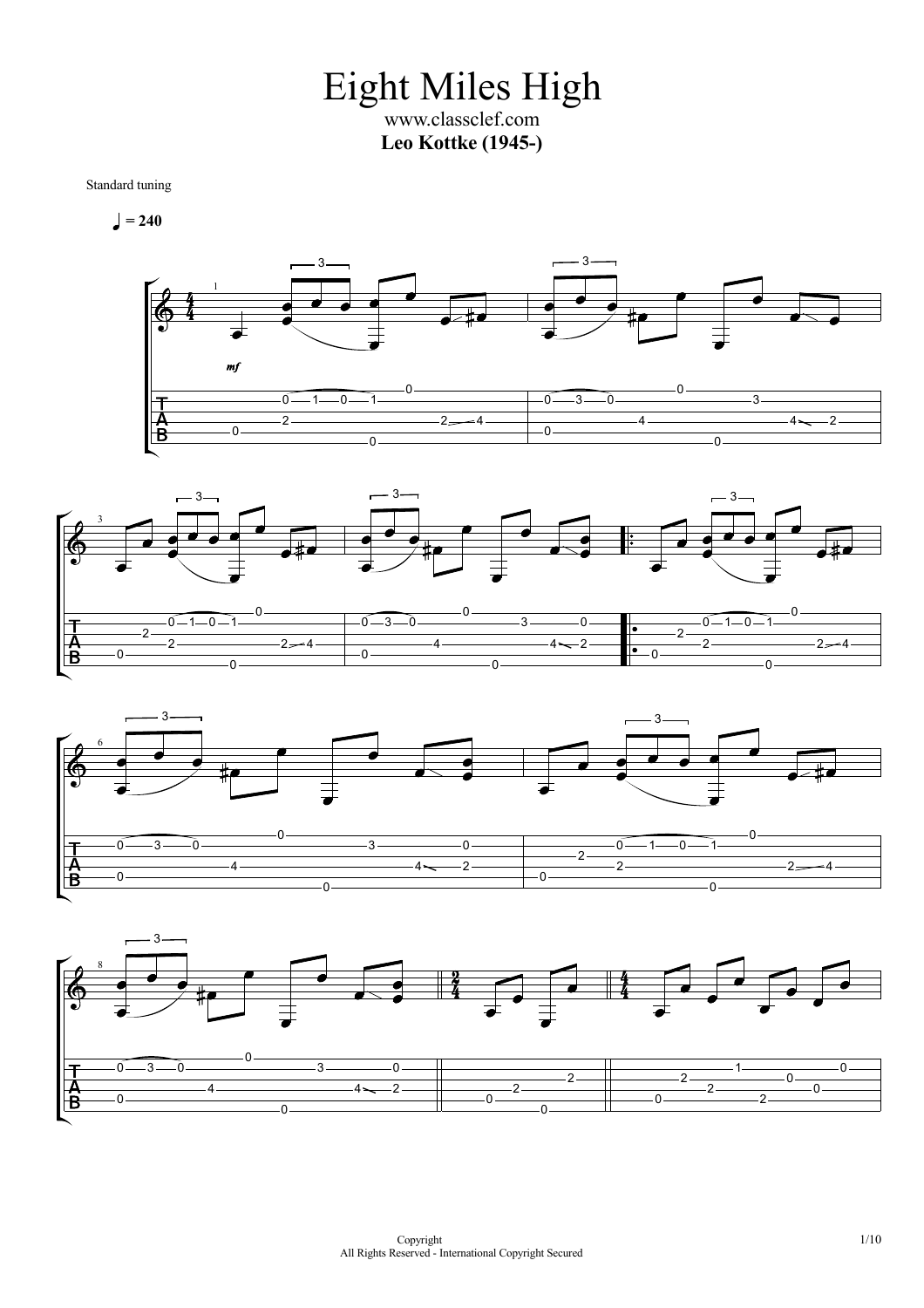Eight Miles High www.classclef.com **Leo Kottke (1945-)**

Standard tuning

$$
\bullet = 240
$$







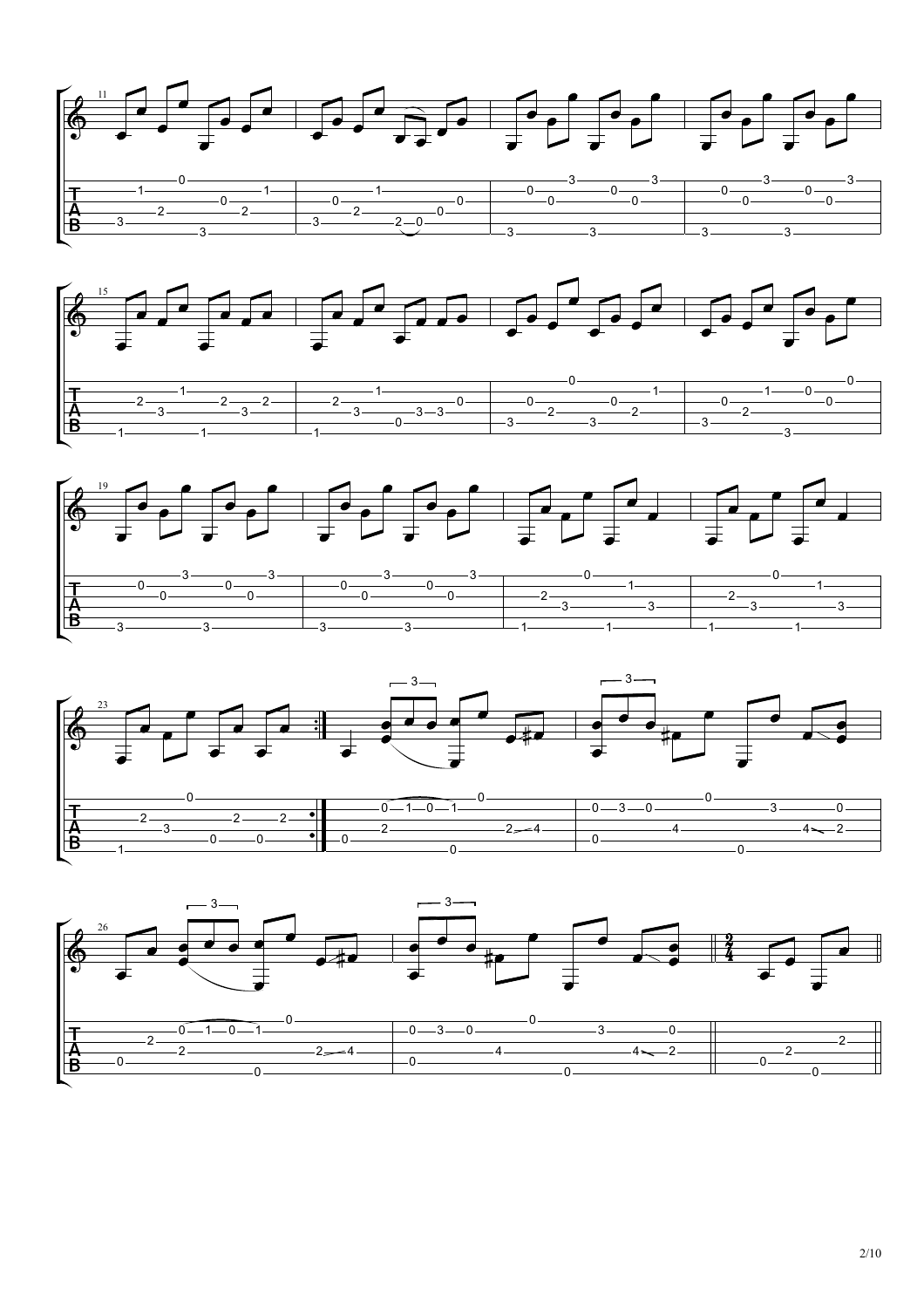







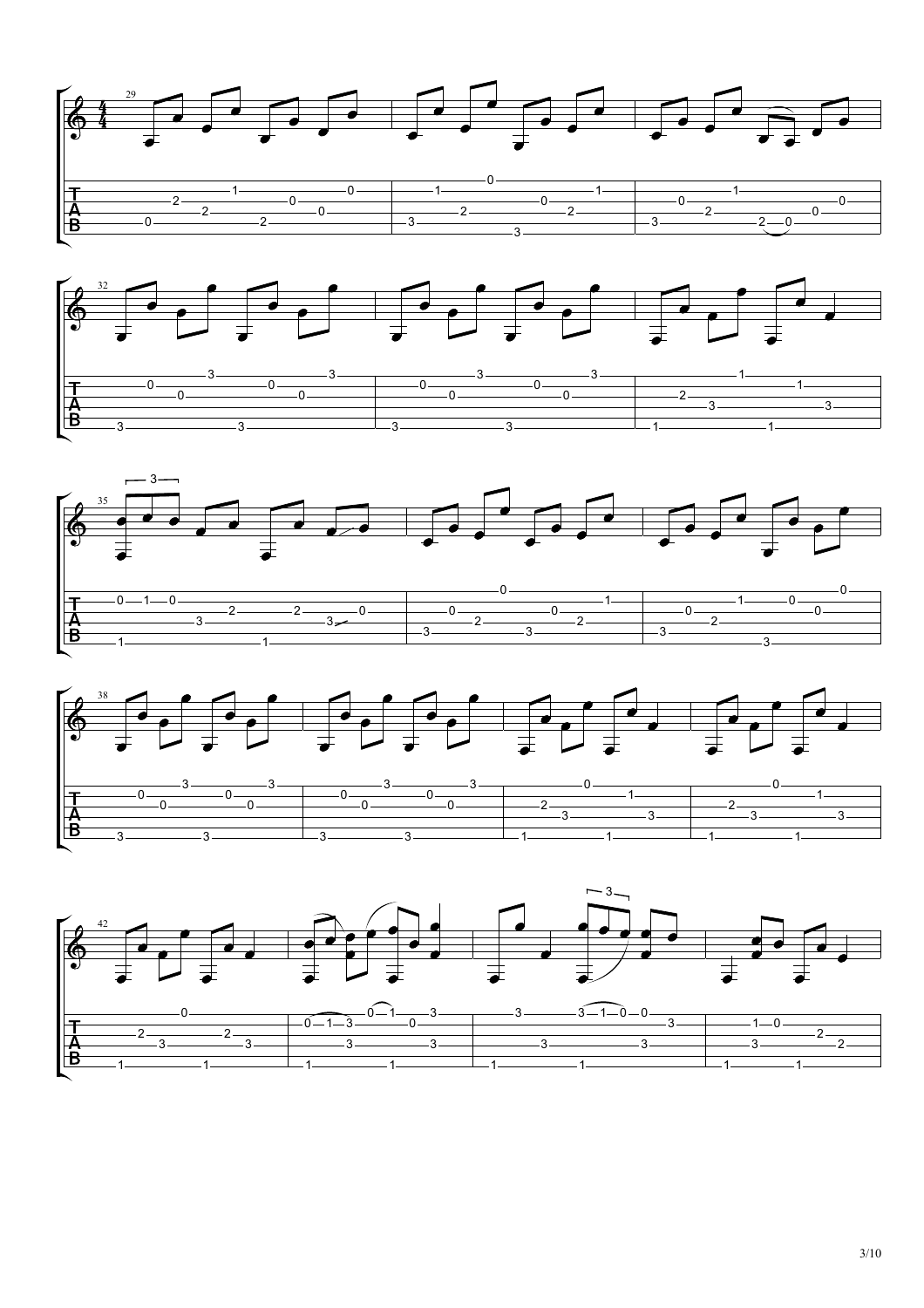







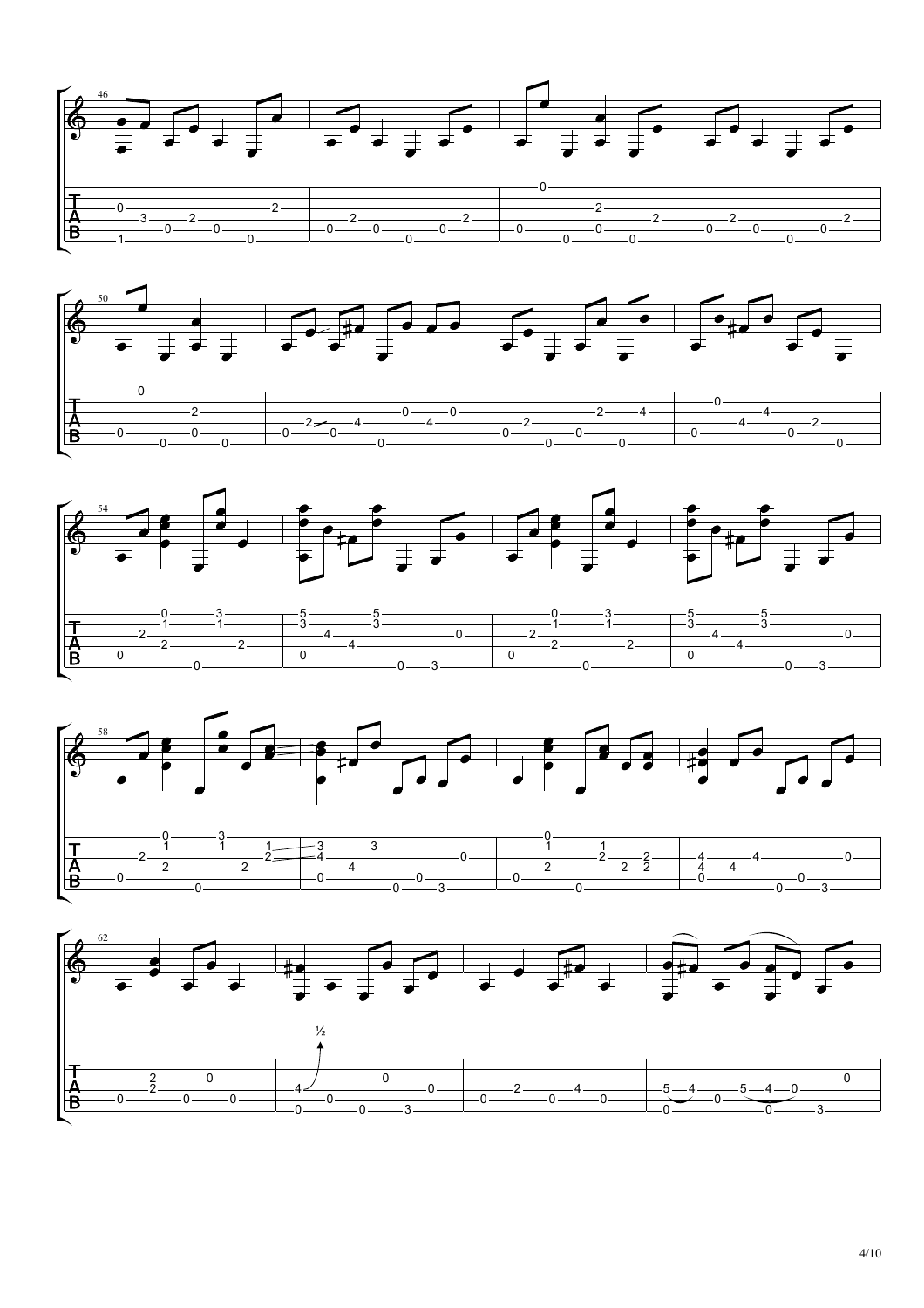







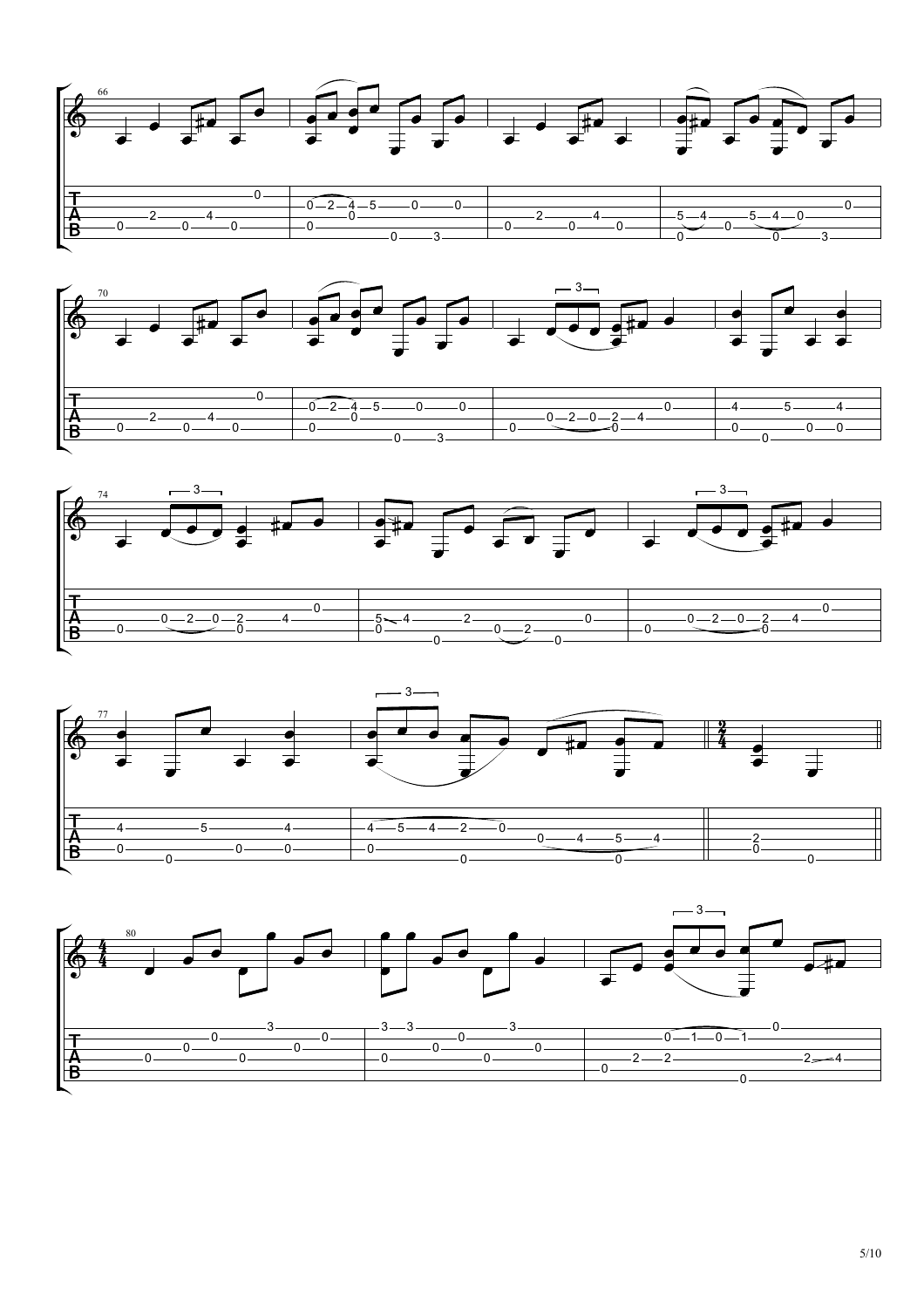









5/10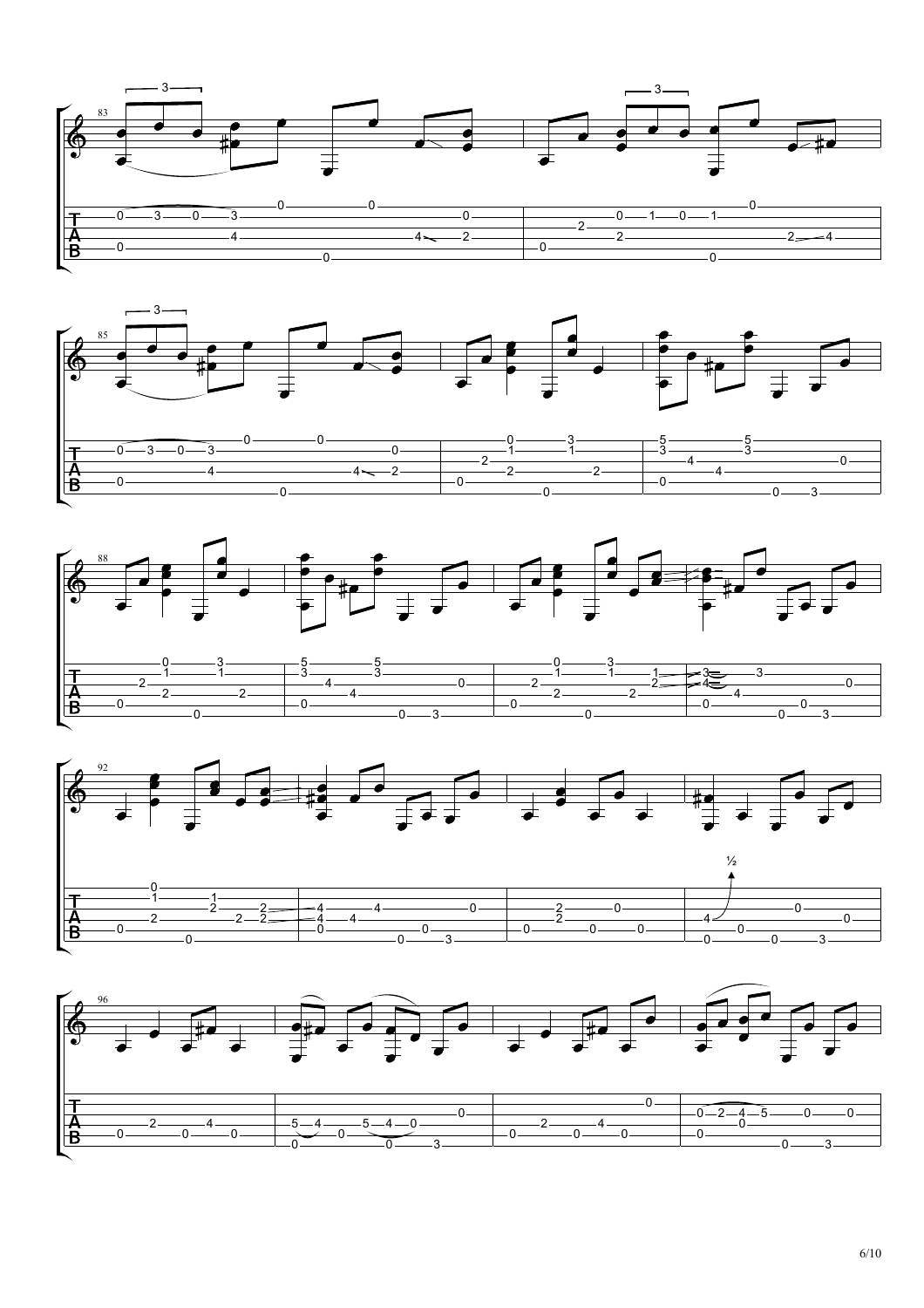







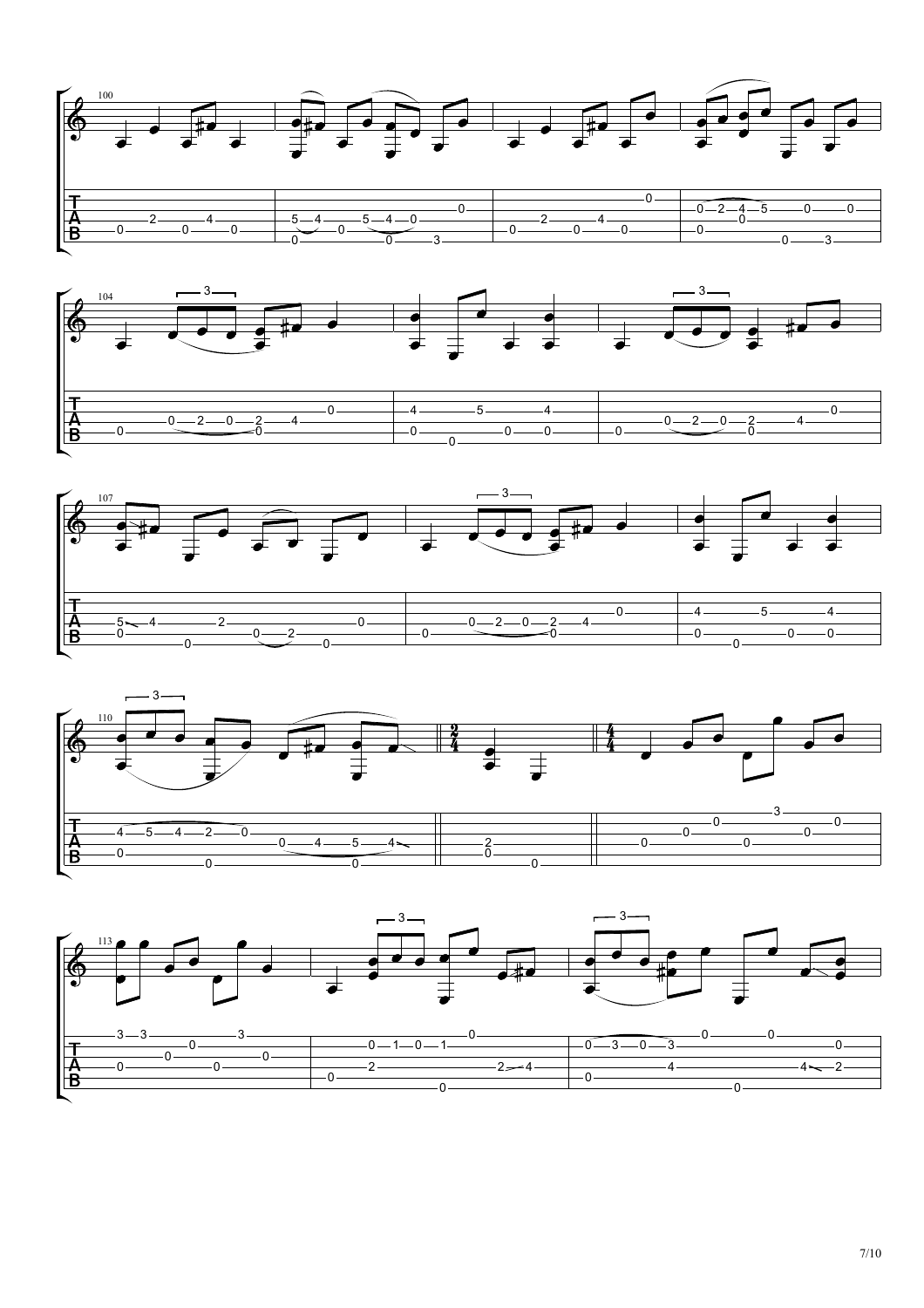







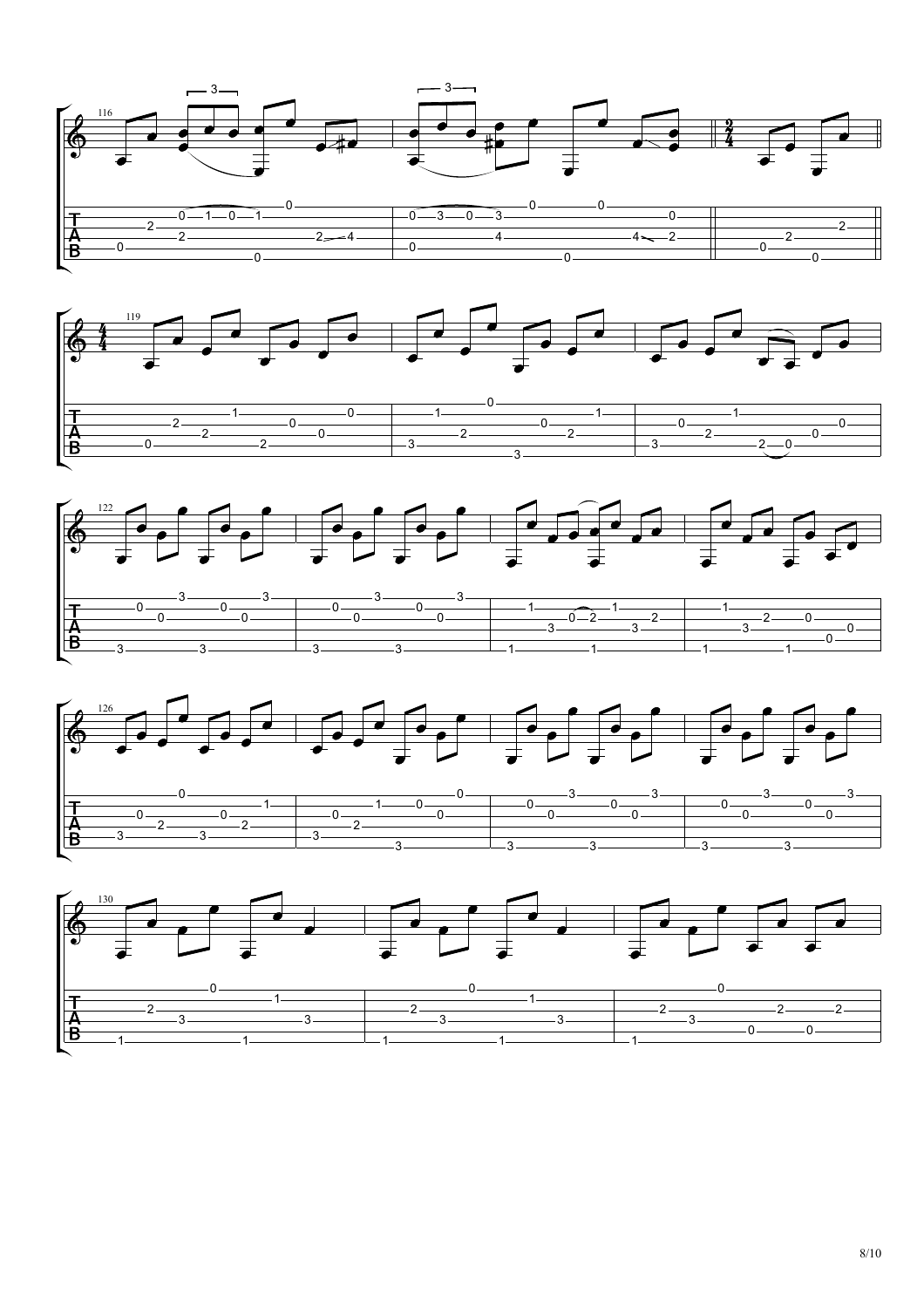







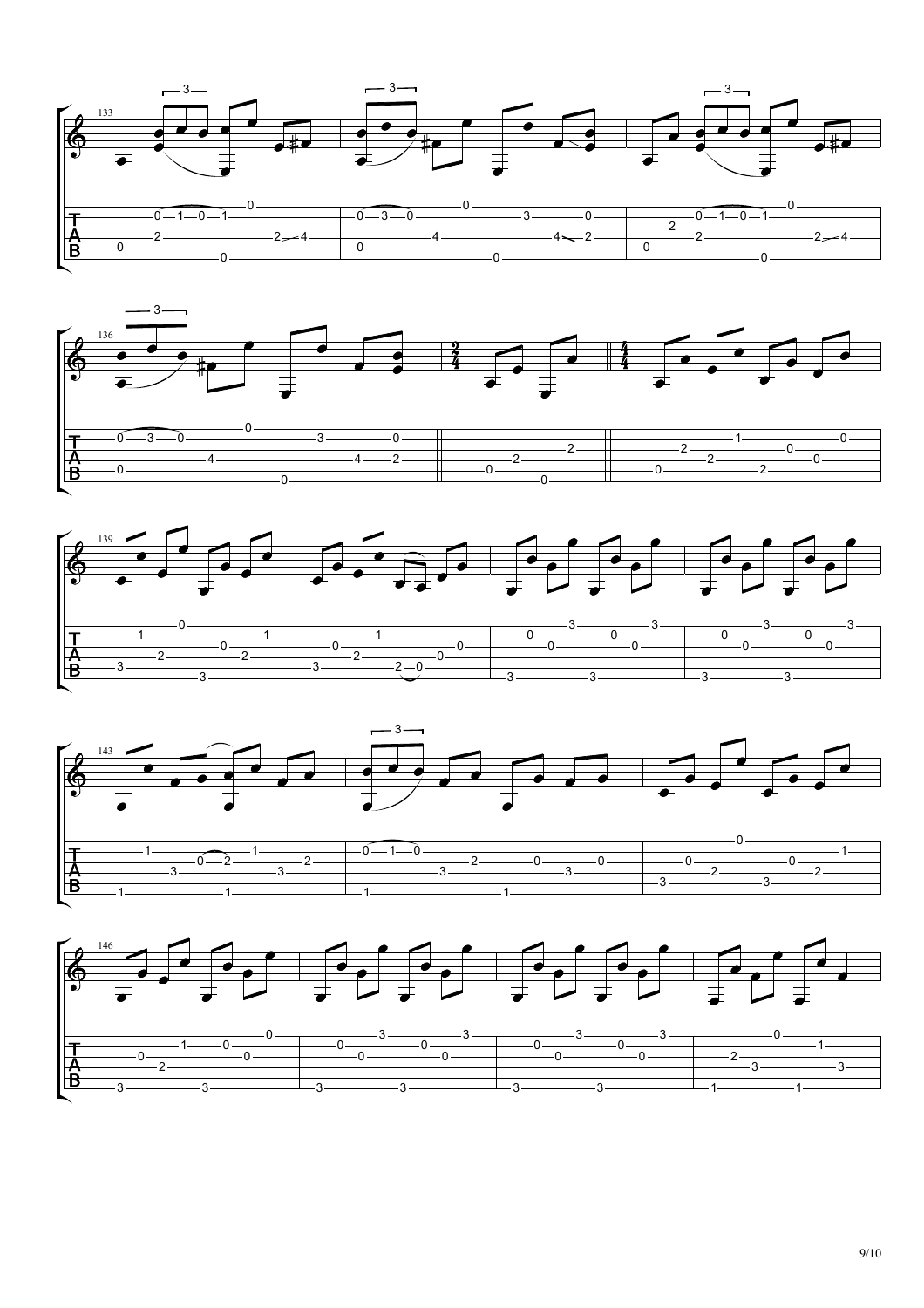